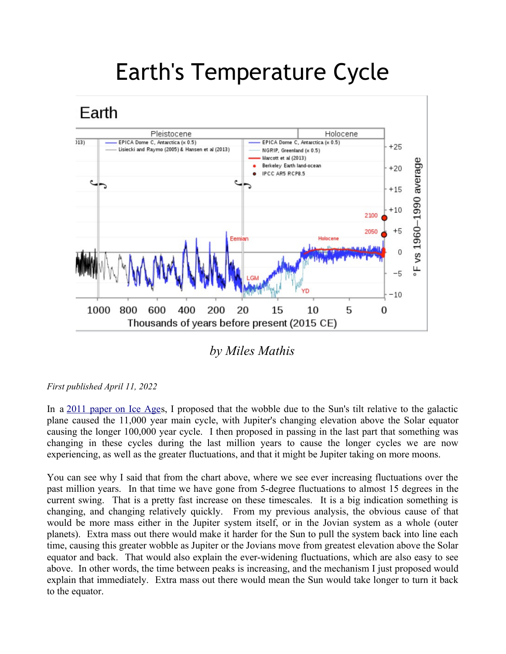## Earth's Temperature Cycle



*by Miles Mathis*

## *First published April 11, 2022*

In a [2011 paper on Ice Ages](http://milesmathis.com/ice.html), I proposed that the wobble due to the Sun's tilt relative to the galactic plane caused the 11,000 year main cycle, with Jupiter's changing elevation above the Solar equator causing the longer 100,000 year cycle. I then proposed in passing in the last part that something was changing in these cycles during the last million years to cause the longer cycles we are now experiencing, as well as the greater fluctuations, and that it might be Jupiter taking on more moons.

You can see why I said that from the chart above, where we see ever increasing fluctuations over the past million years. In that time we have gone from 5-degree fluctuations to almost 15 degrees in the current swing. That is a pretty fast increase on these timescales. It is a big indication something is changing, and changing relatively quickly. From my previous analysis, the obvious cause of that would be more mass either in the Jupiter system itself, or in the Jovian system as a whole (outer planets). Extra mass out there would make it harder for the Sun to pull the system back into line each time, causing this greater wobble as Jupiter or the Jovians move from greatest elevation above the Solar equator and back. That would also explain the ever-widening fluctuations, which are also easy to see above. In other words, the time between peaks is increasing, and the mechanism I just proposed would explain that immediately. Extra mass out there would mean the Sun would take longer to turn it back to the equator.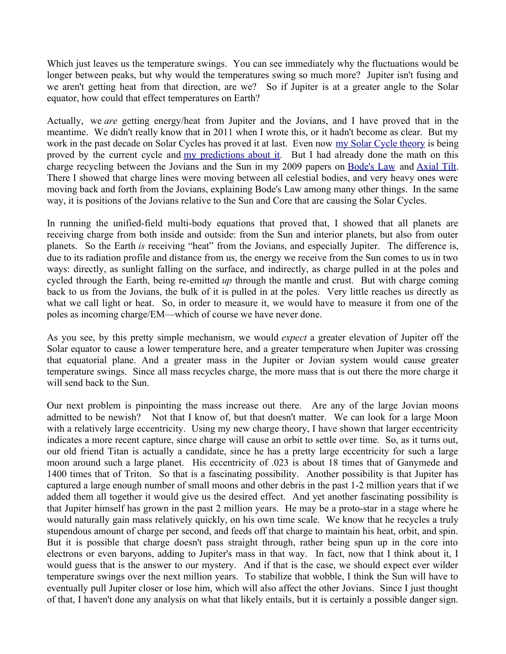Which just leaves us the temperature swings. You can see immediately why the fluctuations would be longer between peaks, but why would the temperatures swing so much more? Jupiter isn't fusing and we aren't getting heat from that direction, are we? So if Jupiter is at a greater angle to the Solar equator, how could that effect temperatures on Earth?

Actually, we *are* getting energy/heat from Jupiter and the Jovians, and I have proved that in the meantime. We didn't really know that in 2011 when I wrote this, or it hadn't become as clear. But my work in the past decade on Solar Cycles has proved it at last. Even now [my Solar Cycle theory](http://milesmathis.com/cycle.pdf) is being proved by the current cycle and [my predictions about it.](http://milesmathis.com/goody.pdf) But I had already done the math on this charge recycling between the Jovians and the Sun in my 2009 papers on [Bode's Law](http://milesmathis.com/bode.html) and [Axial Tilt.](http://milesmathis.com/tilt.html) There I showed that charge lines were moving between all celestial bodies, and very heavy ones were moving back and forth from the Jovians, explaining Bode's Law among many other things. In the same way, it is positions of the Jovians relative to the Sun and Core that are causing the Solar Cycles.

In running the unified-field multi-body equations that proved that, I showed that all planets are receiving charge from both inside and outside: from the Sun and interior planets, but also from outer planets. So the Earth *is* receiving "heat" from the Jovians, and especially Jupiter. The difference is, due to its radiation profile and distance from us, the energy we receive from the Sun comes to us in two ways: directly, as sunlight falling on the surface, and indirectly, as charge pulled in at the poles and cycled through the Earth, being re-emitted *up* through the mantle and crust. But with charge coming back to us from the Jovians, the bulk of it is pulled in at the poles. Very little reaches us directly as what we call light or heat. So, in order to measure it, we would have to measure it from one of the poles as incoming charge/EM—which of course we have never done.

As you see, by this pretty simple mechanism, we would *expect* a greater elevation of Jupiter off the Solar equator to cause a lower temperature here, and a greater temperature when Jupiter was crossing that equatorial plane. And a greater mass in the Jupiter or Jovian system would cause greater temperature swings. Since all mass recycles charge, the more mass that is out there the more charge it will send back to the Sun.

Our next problem is pinpointing the mass increase out there. Are any of the large Jovian moons admitted to be newish? Not that I know of, but that doesn't matter. We can look for a large Moon with a relatively large eccentricity. Using my new charge theory, I have shown that larger eccentricity indicates a more recent capture, since charge will cause an orbit to settle over time. So, as it turns out, our old friend Titan is actually a candidate, since he has a pretty large eccentricity for such a large moon around such a large planet. His eccentricity of .023 is about 18 times that of Ganymede and 1400 times that of Triton. So that is a fascinating possibility. Another possibility is that Jupiter has captured a large enough number of small moons and other debris in the past 1-2 million years that if we added them all together it would give us the desired effect. And yet another fascinating possibility is that Jupiter himself has grown in the past 2 million years. He may be a proto-star in a stage where he would naturally gain mass relatively quickly, on his own time scale. We know that he recycles a truly stupendous amount of charge per second, and feeds off that charge to maintain his heat, orbit, and spin. But it is possible that charge doesn't pass straight through, rather being spun up in the core into electrons or even baryons, adding to Jupiter's mass in that way. In fact, now that I think about it, I would guess that is the answer to our mystery. And if that is the case, we should expect ever wilder temperature swings over the next million years. To stabilize that wobble, I think the Sun will have to eventually pull Jupiter closer or lose him, which will also affect the other Jovians. Since I just thought of that, I haven't done any analysis on what that likely entails, but it is certainly a possible danger sign.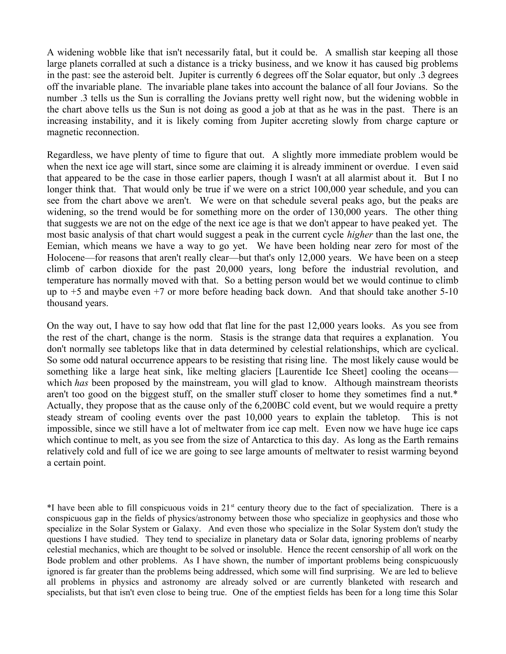A widening wobble like that isn't necessarily fatal, but it could be. A smallish star keeping all those large planets corralled at such a distance is a tricky business, and we know it has caused big problems in the past: see the asteroid belt. Jupiter is currently 6 degrees off the Solar equator, but only .3 degrees off the invariable plane. The invariable plane takes into account the balance of all four Jovians. So the number .3 tells us the Sun is corralling the Jovians pretty well right now, but the widening wobble in the chart above tells us the Sun is not doing as good a job at that as he was in the past. There is an increasing instability, and it is likely coming from Jupiter accreting slowly from charge capture or magnetic reconnection.

Regardless, we have plenty of time to figure that out. A slightly more immediate problem would be when the next ice age will start, since some are claiming it is already imminent or overdue. I even said that appeared to be the case in those earlier papers, though I wasn't at all alarmist about it. But I no longer think that. That would only be true if we were on a strict 100,000 year schedule, and you can see from the chart above we aren't. We were on that schedule several peaks ago, but the peaks are widening, so the trend would be for something more on the order of 130,000 years. The other thing that suggests we are not on the edge of the next ice age is that we don't appear to have peaked yet. The most basic analysis of that chart would suggest a peak in the current cycle *higher* than the last one, the Eemian, which means we have a way to go yet. We have been holding near zero for most of the Holocene—for reasons that aren't really clear—but that's only 12,000 years. We have been on a steep climb of carbon dioxide for the past 20,000 years, long before the industrial revolution, and temperature has normally moved with that. So a betting person would bet we would continue to climb up to  $+5$  and maybe even  $+7$  or more before heading back down. And that should take another  $5-10$ thousand years.

On the way out, I have to say how odd that flat line for the past 12,000 years looks. As you see from the rest of the chart, change is the norm. Stasis is the strange data that requires a explanation. You don't normally see tabletops like that in data determined by celestial relationships, which are cyclical. So some odd natural occurrence appears to be resisting that rising line. The most likely cause would be something like a large heat sink, like melting glaciers [Laurentide Ice Sheet] cooling the oceans which *has* been proposed by the mainstream, you will glad to know. Although mainstream theorists aren't too good on the biggest stuff, on the smaller stuff closer to home they sometimes find a nut.\* Actually, they propose that as the cause only of the 6,200BC cold event, but we would require a pretty steady stream of cooling events over the past 10,000 years to explain the tabletop. This is not impossible, since we still have a lot of meltwater from ice cap melt. Even now we have huge ice caps which continue to melt, as you see from the size of Antarctica to this day. As long as the Earth remains relatively cold and full of ice we are going to see large amounts of meltwater to resist warming beyond a certain point.

 $*$ I have been able to fill conspicuous voids in 21 $*$  century theory due to the fact of specialization. There is a conspicuous gap in the fields of physics/astronomy between those who specialize in geophysics and those who specialize in the Solar System or Galaxy. And even those who specialize in the Solar System don't study the questions I have studied. They tend to specialize in planetary data or Solar data, ignoring problems of nearby celestial mechanics, which are thought to be solved or insoluble. Hence the recent censorship of all work on the Bode problem and other problems. As I have shown, the number of important problems being conspicuously ignored is far greater than the problems being addressed, which some will find surprising. We are led to believe all problems in physics and astronomy are already solved or are currently blanketed with research and specialists, but that isn't even close to being true. One of the emptiest fields has been for a long time this Solar